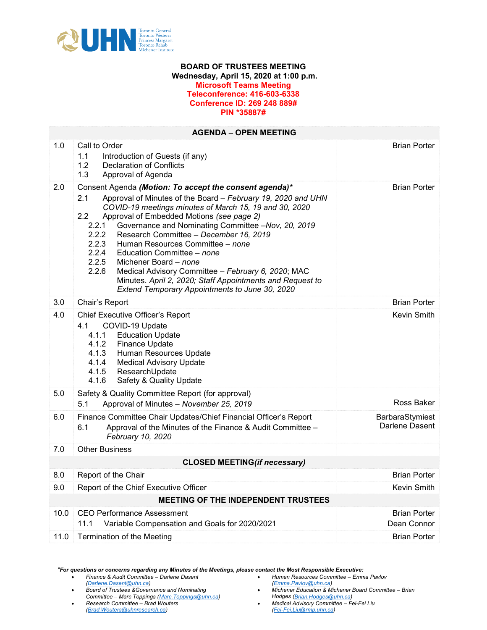

## BOARD OF TRUSTEES MEETING Wednesday, April 15, 2020 at 1:00 p.m. Microsoft Teams Meeting Teleconference: 416-603-6338 Conference ID: 269 248 889# PIN \*35887#

| <b>AGENDA - OPEN MEETING</b>               |                                                                                                                                                                                                                                                                                                                                                                                                                                                                                                                                                                                                                                                                   |                                    |  |
|--------------------------------------------|-------------------------------------------------------------------------------------------------------------------------------------------------------------------------------------------------------------------------------------------------------------------------------------------------------------------------------------------------------------------------------------------------------------------------------------------------------------------------------------------------------------------------------------------------------------------------------------------------------------------------------------------------------------------|------------------------------------|--|
| 1.0                                        | Call to Order<br>1.1<br>Introduction of Guests (if any)<br>1.2<br><b>Declaration of Conflicts</b><br>1.3<br>Approval of Agenda                                                                                                                                                                                                                                                                                                                                                                                                                                                                                                                                    | <b>Brian Porter</b>                |  |
| 2.0                                        | Consent Agenda (Motion: To accept the consent agenda)*<br>Approval of Minutes of the Board - February 19, 2020 and UHN<br>2.1<br>COVID-19 meetings minutes of March 15, 19 and 30, 2020<br>2.2<br>Approval of Embedded Motions (see page 2)<br>2.2.1<br>Governance and Nominating Committee -Nov, 20, 2019<br>2.2.2<br>Research Committee - December 16, 2019<br>2.2.3<br>Human Resources Committee - none<br>2.2.4<br>Education Committee - none<br>2.2.5<br>Michener Board - none<br>2.2.6<br>Medical Advisory Committee - February 6, 2020; MAC<br>Minutes. April 2, 2020; Staff Appointments and Request to<br>Extend Temporary Appointments to June 30, 2020 | <b>Brian Porter</b>                |  |
| 3.0                                        | Chair's Report                                                                                                                                                                                                                                                                                                                                                                                                                                                                                                                                                                                                                                                    | <b>Brian Porter</b>                |  |
| 4.0                                        | Chief Executive Officer's Report<br>4.1<br>COVID-19 Update<br>4.1.1<br><b>Education Update</b><br><b>Finance Update</b><br>4.1.2<br>Human Resources Update<br>4.1.3<br>4.1.4<br><b>Medical Advisory Update</b><br>ResearchUpdate<br>4.1.5<br>4.1.6<br>Safety & Quality Update                                                                                                                                                                                                                                                                                                                                                                                     | Kevin Smith                        |  |
| 5.0                                        | Safety & Quality Committee Report (for approval)<br>5.1<br>Approval of Minutes - November 25, 2019                                                                                                                                                                                                                                                                                                                                                                                                                                                                                                                                                                | Ross Baker                         |  |
| 6.0                                        | Finance Committee Chair Updates/Chief Financial Officer's Report<br>6.1<br>Approval of the Minutes of the Finance & Audit Committee -<br>February 10, 2020                                                                                                                                                                                                                                                                                                                                                                                                                                                                                                        | BarbaraStymiest<br>Darlene Dasent  |  |
| 7.0                                        | <b>Other Business</b>                                                                                                                                                                                                                                                                                                                                                                                                                                                                                                                                                                                                                                             |                                    |  |
| <b>CLOSED MEETING(if necessary)</b>        |                                                                                                                                                                                                                                                                                                                                                                                                                                                                                                                                                                                                                                                                   |                                    |  |
| 8.0                                        | Report of the Chair                                                                                                                                                                                                                                                                                                                                                                                                                                                                                                                                                                                                                                               | <b>Brian Porter</b>                |  |
| 9.0                                        | Report of the Chief Executive Officer                                                                                                                                                                                                                                                                                                                                                                                                                                                                                                                                                                                                                             | Kevin Smith                        |  |
| <b>MEETING OF THE INDEPENDENT TRUSTEES</b> |                                                                                                                                                                                                                                                                                                                                                                                                                                                                                                                                                                                                                                                                   |                                    |  |
| 10.0                                       | <b>CEO Performance Assessment</b><br>11.1<br>Variable Compensation and Goals for 2020/2021                                                                                                                                                                                                                                                                                                                                                                                                                                                                                                                                                                        | <b>Brian Porter</b><br>Dean Connor |  |
| 11.0                                       | Termination of the Meeting                                                                                                                                                                                                                                                                                                                                                                                                                                                                                                                                                                                                                                        | <b>Brian Porter</b>                |  |

\*For questions or concerns regarding any Minutes of the Meetings, please contact the Most Responsible Executive:

- Finance & Audit Committee Darlene Dasent [\(Darlene.Dasent@uhn.ca](mailto:Darlene.Dasent@uhn.ca))
- Board of Trustees &Governance and Nominating
- 
- Committee Marc Toppings [\(Marc.Toppings@uhn.ca\)](mailto:Marc.Topppings@uhn.ca)

• Research Committee – Brad Wouters [\(Brad.Wouters@uhnresearch.ca](mailto:Brad.Wouters@uhnresearch.ca))

- Human Resources Committee Emma Pavlov [\(Emma.Pavlov@uhn.ca](mailto:Emma.Pavlov@uhn.ca))
- Michener Education & Michener Board Committee Brian
- Hodges [\(Brian.Hodges@uhn.ca\)](mailto:Brian.Hodges@uhn.ca) Medical Advisory Committee – Fei-Fei Liu
- [\(Fei-Fei.Liu@rmp.uhn.ca](mailto:Fei-Fei.Liu@rmp.uhn.ca))